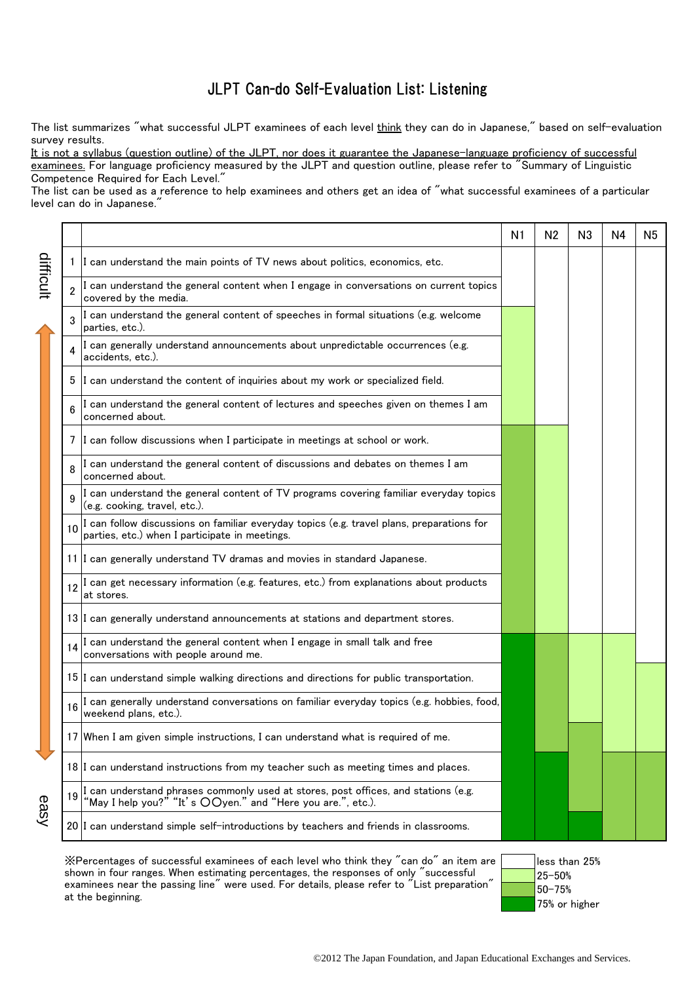## JLPT Can-do Self-Evaluation List: Listening

The list summarizes "what successful JLPT examinees of each level think they can do in Japanese," based on self-evaluation survey results.

It is not a syllabus (question outline) of the JLPT, nor does it guarantee the Japanese-language proficiency of successful examinees. For language proficiency measured by the JLPT and question outline, please refer to "Summary of Linguistic Competence Required for Each Level."

The list can be used as a reference to help examinees and others get an idea of "what successful examinees of a particular level can do in Japanese.

|           |                 |                                                                                                                                                | N1 | N <sub>2</sub> | N <sub>3</sub> | N4 | N5 |
|-----------|-----------------|------------------------------------------------------------------------------------------------------------------------------------------------|----|----------------|----------------|----|----|
|           | 1               | I can understand the main points of TV news about politics, economics, etc.                                                                    |    |                |                |    |    |
| difficult | $\overline{2}$  | I can understand the general content when I engage in conversations on current topics<br>covered by the media.                                 |    |                |                |    |    |
|           |                 | I can understand the general content of speeches in formal situations (e.g. welcome<br>parties, etc.).                                         |    |                |                |    |    |
|           |                 | I can generally understand announcements about unpredictable occurrences (e.g.<br>accidents, etc.).                                            |    |                |                |    |    |
|           | 5               | I can understand the content of inquiries about my work or specialized field.                                                                  |    |                |                |    |    |
|           | 6               | I can understand the general content of lectures and speeches given on themes I am<br>concerned about.                                         |    |                |                |    |    |
|           | 7               | I can follow discussions when I participate in meetings at school or work.                                                                     |    |                |                |    |    |
|           |                 | I can understand the general content of discussions and debates on themes I am<br>concerned about.                                             |    |                |                |    |    |
|           |                 | I can understand the general content of TV programs covering familiar everyday topics<br>(e.g. cooking, travel, etc.).                         |    |                |                |    |    |
|           | 10              | I can follow discussions on familiar everyday topics (e.g. travel plans, preparations for<br>parties, etc.) when I participate in meetings.    |    |                |                |    |    |
|           |                 | 11 I can generally understand TV dramas and movies in standard Japanese.                                                                       |    |                |                |    |    |
|           | 12 <sup>2</sup> | I can get necessary information (e.g. features, etc.) from explanations about products<br>at stores.                                           |    |                |                |    |    |
|           |                 | 13 I can generally understand announcements at stations and department stores.                                                                 |    |                |                |    |    |
|           |                 | I can understand the general content when I engage in small talk and free<br>conversations with people around me.                              |    |                |                |    |    |
|           |                 | 15 I can understand simple walking directions and directions for public transportation.                                                        |    |                |                |    |    |
|           | 16              | I can generally understand conversations on familiar everyday topics (e.g. hobbies, food,<br>weekend plans, etc.).                             |    |                |                |    |    |
|           |                 | 17 When I am given simple instructions, I can understand what is required of me.                                                               |    |                |                |    |    |
|           |                 | 18 I can understand instructions from my teacher such as meeting times and places.                                                             |    |                |                |    |    |
| easy      | 19              | I can understand phrases commonly used at stores, post offices, and stations (e.g. "May I help you?" "It's OOyen." and "Here you are.", etc.). |    |                |                |    |    |
|           |                 | 20 I can understand simple self-introductions by teachers and friends in classrooms.                                                           |    |                |                |    |    |

※Percentages of successful examinees of each level who think they "can do" an item are shown in four ranges. When estimating percentages, the responses of only "successful examinees near the passing line" were used. For details, please refer to "List preparation" at the beginning.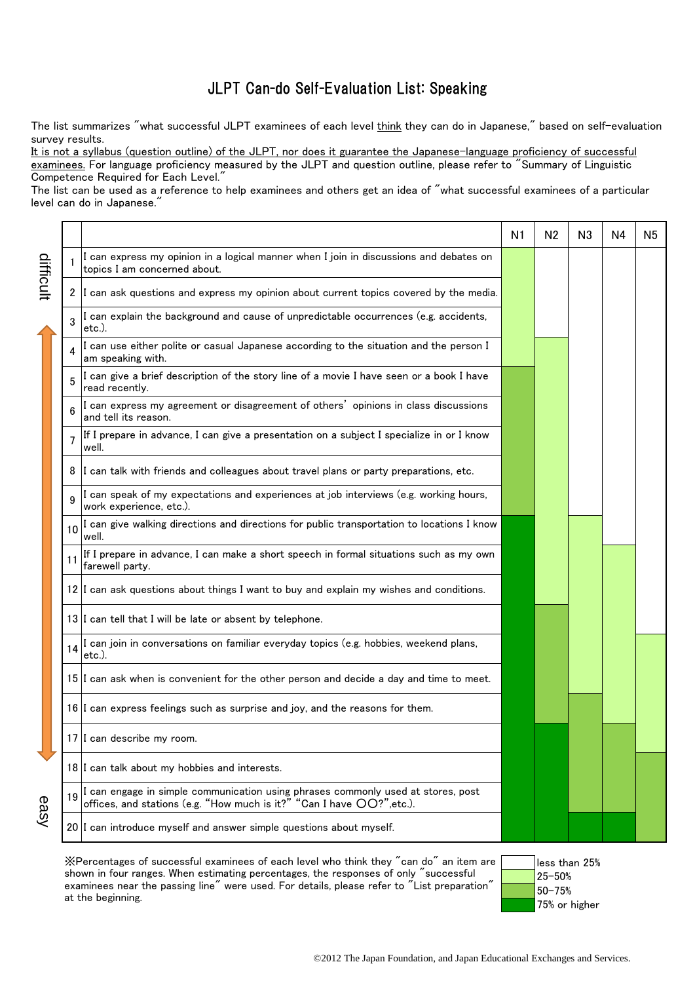## JLPT Can-do Self-Evaluation List: Speaking

The list summarizes "what successful JLPT examinees of each level think they can do in Japanese," based on self-evaluation survey results.

It is not a syllabus (question outline) of the JLPT, nor does it guarantee the Japanese-language proficiency of successful examinees. For language proficiency measured by the JLPT and question outline, please refer to "Summary of Linguistic Competence Required for Each Level."

The list can be used as a reference to help examinees and others get an idea of "what successful examinees of a particular level can do in Japanese.

|           |                 |                                                                                                                                                            | N1 | N <sub>2</sub> | N <sub>3</sub> | N4 | N <sub>5</sub> |
|-----------|-----------------|------------------------------------------------------------------------------------------------------------------------------------------------------------|----|----------------|----------------|----|----------------|
| difficult |                 | I can express my opinion in a logical manner when I join in discussions and debates on<br>topics I am concerned about.                                     |    |                |                |    |                |
|           |                 | 2 I can ask questions and express my opinion about current topics covered by the media.                                                                    |    |                |                |    |                |
|           | $\mathbf{R}$    | I can explain the background and cause of unpredictable occurrences (e.g. accidents,<br>etc.).                                                             |    |                |                |    |                |
|           |                 | I can use either polite or casual Japanese according to the situation and the person I<br>am speaking with.                                                |    |                |                |    |                |
|           |                 | I can give a brief description of the story line of a movie I have seen or a book I have<br>read recently.                                                 |    |                |                |    |                |
|           | 6               | I can express my agreement or disagreement of others' opinions in class discussions<br>and tell its reason.                                                |    |                |                |    |                |
|           | $\overline{7}$  | If I prepare in advance, I can give a presentation on a subject I specialize in or I know<br>well.                                                         |    |                |                |    |                |
|           | 8               | I can talk with friends and colleagues about travel plans or party preparations, etc.                                                                      |    |                |                |    |                |
|           | 9               | I can speak of my expectations and experiences at job interviews (e.g. working hours,<br>work experience, etc.).                                           |    |                |                |    |                |
|           | 10 <sup>1</sup> | I can give walking directions and directions for public transportation to locations I know<br>well.                                                        |    |                |                |    |                |
|           | 11              | If I prepare in advance, I can make a short speech in formal situations such as my own<br>farewell party.                                                  |    |                |                |    |                |
|           |                 | 12 I can ask questions about things I want to buy and explain my wishes and conditions.                                                                    |    |                |                |    |                |
|           |                 | 13 I can tell that I will be late or absent by telephone.                                                                                                  |    |                |                |    |                |
|           | 14              | I can join in conversations on familiar everyday topics (e.g. hobbies, weekend plans,<br>etc.).                                                            |    |                |                |    |                |
| easy      |                 | 15 I can ask when is convenient for the other person and decide a day and time to meet.                                                                    |    |                |                |    |                |
|           |                 | 16 I can express feelings such as surprise and joy, and the reasons for them.                                                                              |    |                |                |    |                |
|           |                 | 17 I can describe my room.                                                                                                                                 |    |                |                |    |                |
|           |                 | 18 I can talk about my hobbies and interests.                                                                                                              |    |                |                |    |                |
|           | 19              | I can engage in simple communication using phrases commonly used at stores, post offices, and stations (e.g. "How much is it?" "Can I have $OO$ ?", etc.). |    |                |                |    |                |
|           |                 | 20 I can introduce myself and answer simple questions about myself.                                                                                        |    |                |                |    |                |
|           |                 |                                                                                                                                                            |    |                |                |    |                |

※Percentages of successful examinees of each level who think they "can do" an item are shown in four ranges. When estimating percentages, the responses of only "successful examinees near the passing line" were used. For details, please refer to "List preparation" at the beginning.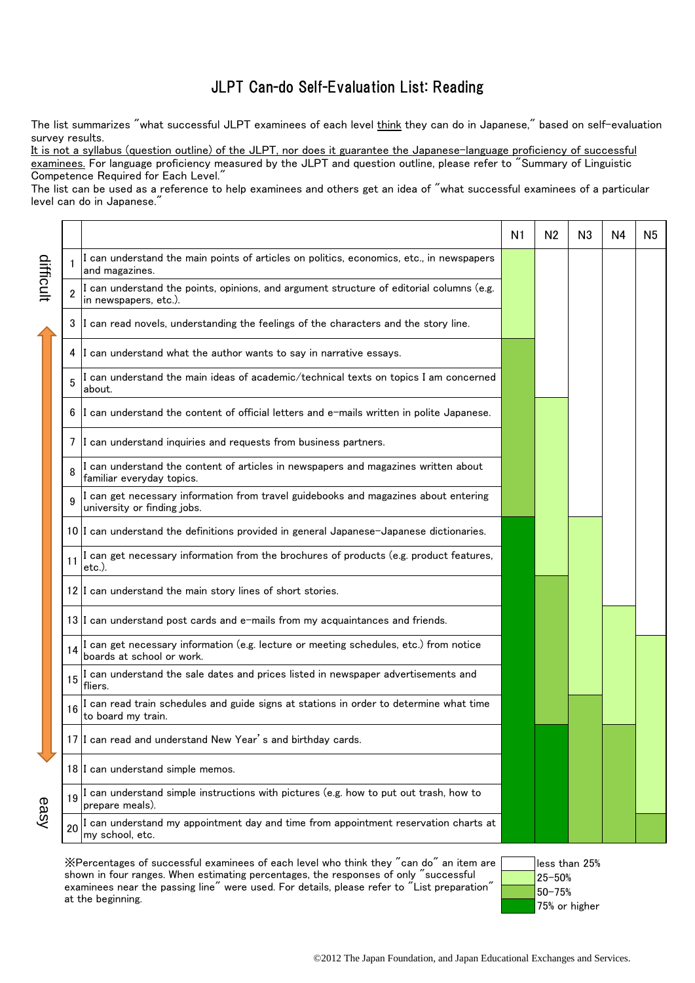## JLPT Can-do Self-Evaluation List: Reading

The list summarizes "what successful JLPT examinees of each level think they can do in Japanese," based on self-evaluation survey results.

It is not a syllabus (question outline) of the JLPT, nor does it guarantee the Japanese-language proficiency of successful examinees. For language proficiency measured by the JLPT and question outline, please refer to "Summary of Linguistic Competence Required for Each Level."

The list can be used as a reference to help examinees and others get an idea of "what successful examinees of a particular level can do in Japanese."

|           |                |                                                                                                                    | N1 | N <sub>2</sub> | N <sub>3</sub> | N4 | N <sub>5</sub> |
|-----------|----------------|--------------------------------------------------------------------------------------------------------------------|----|----------------|----------------|----|----------------|
|           |                | I can understand the main points of articles on politics, economics, etc., in newspapers<br>and magazines.         |    |                |                |    |                |
| difficult | $\overline{2}$ | I can understand the points, opinions, and argument structure of editorial columns (e.g.<br>in newspapers, etc.).  |    |                |                |    |                |
|           | 3              | I can read novels, understanding the feelings of the characters and the story line.                                |    |                |                |    |                |
|           | 4              | I can understand what the author wants to say in narrative essays.                                                 |    |                |                |    |                |
|           | 5              | I can understand the main ideas of academic/technical texts on topics I am concerned<br>about.                     |    |                |                |    |                |
|           | 6              | I can understand the content of official letters and e-mails written in polite Japanese.                           |    |                |                |    |                |
|           |                | 7 I can understand inquiries and requests from business partners.                                                  |    |                |                |    |                |
|           | 8              | I can understand the content of articles in newspapers and magazines written about<br>familiar everyday topics.    |    |                |                |    |                |
|           | q              | I can get necessary information from travel guidebooks and magazines about entering<br>university or finding jobs. |    |                |                |    |                |
|           |                | 10 I can understand the definitions provided in general Japanese-Japanese dictionaries.                            |    |                |                |    |                |
|           | 11             | I can get necessary information from the brochures of products (e.g. product features,<br>etc.).                   |    |                |                |    |                |
|           |                | 12 I can understand the main story lines of short stories.                                                         |    |                |                |    |                |
|           |                | 13 I can understand post cards and e-mails from my acquaintances and friends.                                      |    |                |                |    |                |
|           | 14             | I can get necessary information (e.g. lecture or meeting schedules, etc.) from notice<br>boards at school or work. |    |                |                |    |                |
|           | 15             | I can understand the sale dates and prices listed in newspaper advertisements and<br>fliers.                       |    |                |                |    |                |
|           |                | I can read train schedules and guide signs at stations in order to determine what time<br>to board my train.       |    |                |                |    |                |
|           |                | 17 I can read and understand New Year's and birthday cards.                                                        |    |                |                |    |                |
|           |                | 18 I can understand simple memos.                                                                                  |    |                |                |    |                |
|           | 19             | I can understand simple instructions with pictures (e.g. how to put out trash, how to<br>prepare meals).           |    |                |                |    |                |
| easy      | 20             | I can understand my appointment day and time from appointment reservation charts at<br>my school, etc.             |    |                |                |    |                |

※Percentages of successful examinees of each level who think they "can do" an item are shown in four ranges. When estimating percentages, the responses of only "successful examinees near the passing line" were used. For details, please refer to "List preparation" at the beginning.